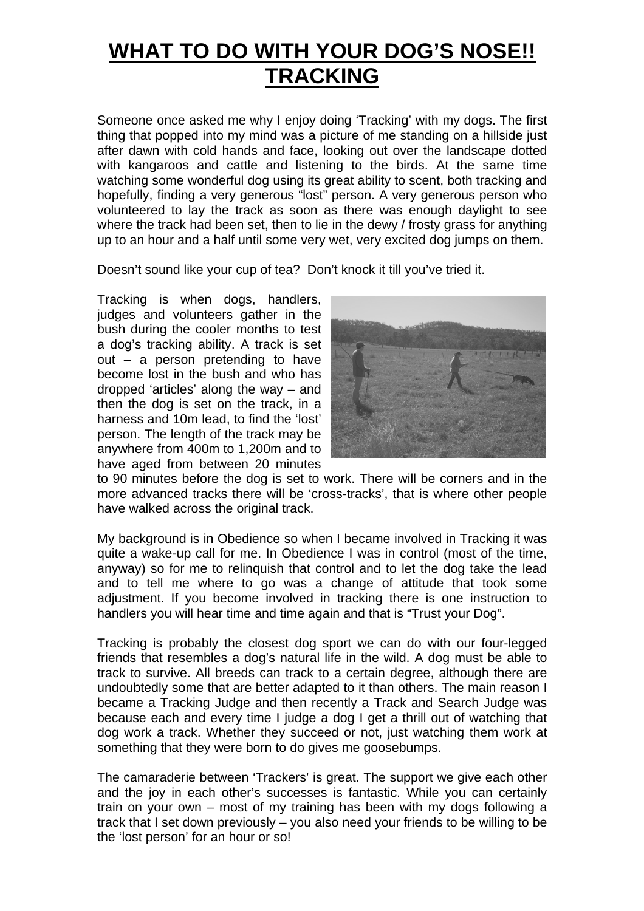# **WHAT TO DO WITH YOUR DOG'S NOSE!! TRACKING**

Someone once asked me why I enjoy doing 'Tracking' with my dogs. The first thing that popped into my mind was a picture of me standing on a hillside just after dawn with cold hands and face, looking out over the landscape dotted with kangaroos and cattle and listening to the birds. At the same time watching some wonderful dog using its great ability to scent, both tracking and hopefully, finding a very generous "lost" person. A very generous person who volunteered to lay the track as soon as there was enough daylight to see where the track had been set, then to lie in the dewy / frosty grass for anything up to an hour and a half until some very wet, very excited dog jumps on them.

Doesn't sound like your cup of tea? Don't knock it till you've tried it.

Tracking is when dogs, handlers, judges and volunteers gather in the bush during the cooler months to test a dog's tracking ability. A track is set out – a person pretending to have become lost in the bush and who has dropped 'articles' along the way – and then the dog is set on the track, in a harness and 10m lead, to find the 'lost' person. The length of the track may be anywhere from 400m to 1,200m and to have aged from between 20 minutes



to 90 minutes before the dog is set to work. There will be corners and in the more advanced tracks there will be 'cross-tracks', that is where other people have walked across the original track.

My background is in Obedience so when I became involved in Tracking it was quite a wake-up call for me. In Obedience I was in control (most of the time, anyway) so for me to relinquish that control and to let the dog take the lead and to tell me where to go was a change of attitude that took some adjustment. If you become involved in tracking there is one instruction to handlers you will hear time and time again and that is "Trust your Dog".

Tracking is probably the closest dog sport we can do with our four-legged friends that resembles a dog's natural life in the wild. A dog must be able to track to survive. All breeds can track to a certain degree, although there are undoubtedly some that are better adapted to it than others. The main reason I became a Tracking Judge and then recently a Track and Search Judge was because each and every time I judge a dog I get a thrill out of watching that dog work a track. Whether they succeed or not, just watching them work at something that they were born to do gives me goosebumps.

The camaraderie between 'Trackers' is great. The support we give each other and the joy in each other's successes is fantastic. While you can certainly train on your own – most of my training has been with my dogs following a track that I set down previously – you also need your friends to be willing to be the 'lost person' for an hour or so!